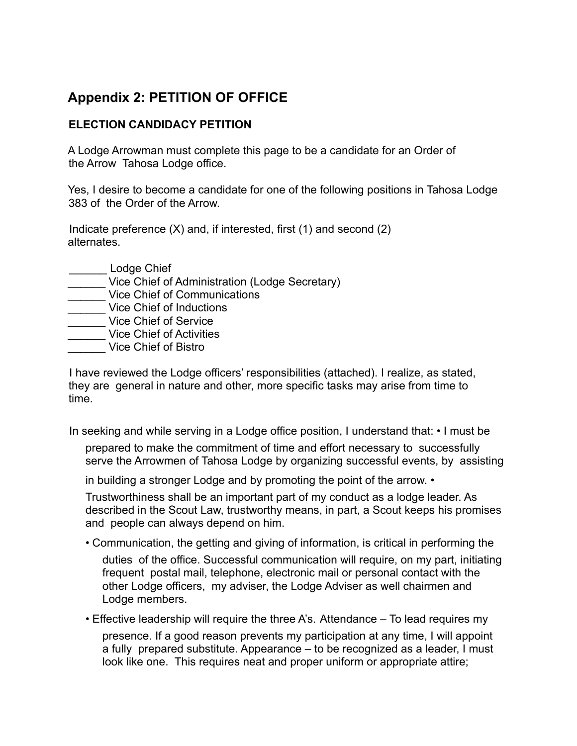## **Appendix 2: PETITION OF OFFICE**

## **ELECTION CANDIDACY PETITION**

A Lodge Arrowman must complete this page to be a candidate for an Order of the Arrow Tahosa Lodge office.

Yes, I desire to become a candidate for one of the following positions in Tahosa Lodge 383 of the Order of the Arrow.

Indicate preference  $(X)$  and, if interested, first  $(1)$  and second  $(2)$ alternates.

- Lodge Chief
- \_\_\_\_\_\_ Vice Chief of Administration (Lodge Secretary)
- Let Uice Chief of Communications
- **Wice Chief of Inductions**
- \_\_\_\_\_\_ Vice Chief of Service
- **Wice Chief of Activities**
- \_\_\_\_\_\_ Vice Chief of Bistro

I have reviewed the Lodge officers' responsibilities (attached). I realize, as stated, they are general in nature and other, more specific tasks may arise from time to time.

In seeking and while serving in a Lodge office position, I understand that: • I must be

prepared to make the commitment of time and effort necessary to successfully serve the Arrowmen of Tahosa Lodge by organizing successful events, by assisting

in building a stronger Lodge and by promoting the point of the arrow. •

Trustworthiness shall be an important part of my conduct as a lodge leader. As described in the Scout Law, trustworthy means, in part, a Scout keeps his promises and people can always depend on him.

- Communication, the getting and giving of information, is critical in performing the duties of the office. Successful communication will require, on my part, initiating frequent postal mail, telephone, electronic mail or personal contact with the other Lodge officers, my adviser, the Lodge Adviser as well chairmen and Lodge members.
- Effective leadership will require the three A's. Attendance To lead requires my

presence. If a good reason prevents my participation at any time, I will appoint a fully prepared substitute. Appearance – to be recognized as a leader, I must look like one. This requires neat and proper uniform or appropriate attire;